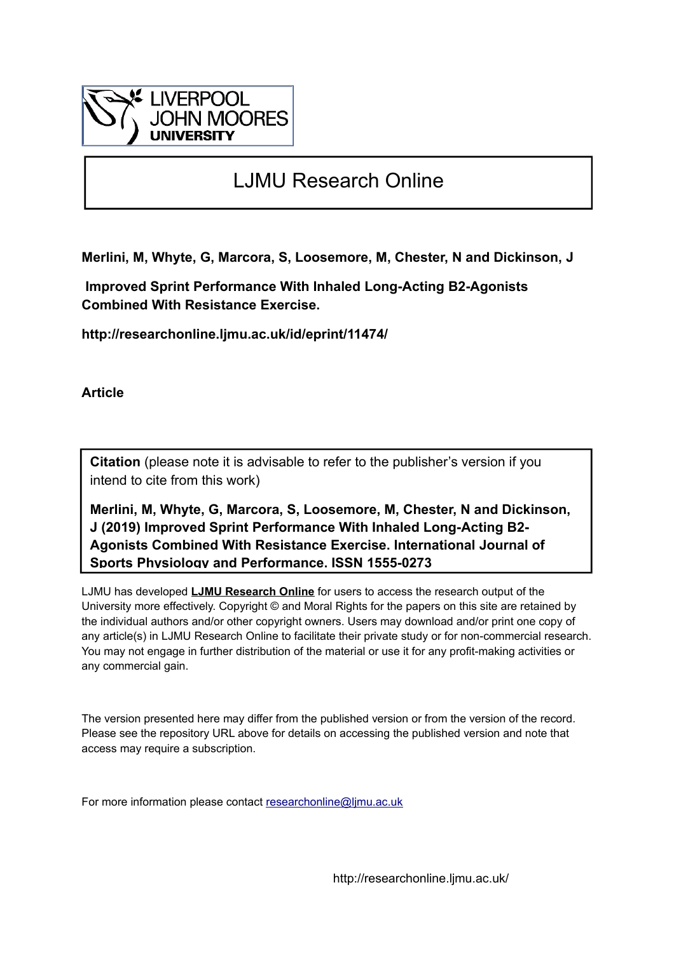

# LJMU Research Online

**Merlini, M, Whyte, G, Marcora, S, Loosemore, M, Chester, N and Dickinson, J**

 **Improved Sprint Performance With Inhaled Long-Acting Β2-Agonists Combined With Resistance Exercise.**

**http://researchonline.ljmu.ac.uk/id/eprint/11474/**

**Article**

**Citation** (please note it is advisable to refer to the publisher's version if you intend to cite from this work)

**Merlini, M, Whyte, G, Marcora, S, Loosemore, M, Chester, N and Dickinson, J (2019) Improved Sprint Performance With Inhaled Long-Acting Β2- Agonists Combined With Resistance Exercise. International Journal of Sports Physiology and Performance. ISSN 1555-0273** 

LJMU has developed **[LJMU Research Online](http://researchonline.ljmu.ac.uk/)** for users to access the research output of the University more effectively. Copyright © and Moral Rights for the papers on this site are retained by the individual authors and/or other copyright owners. Users may download and/or print one copy of any article(s) in LJMU Research Online to facilitate their private study or for non-commercial research. You may not engage in further distribution of the material or use it for any profit-making activities or any commercial gain.

The version presented here may differ from the published version or from the version of the record. Please see the repository URL above for details on accessing the published version and note that access may require a subscription.

For more information please contact [researchonline@ljmu.ac.uk](mailto:researchonline@ljmu.ac.uk)

http://researchonline.ljmu.ac.uk/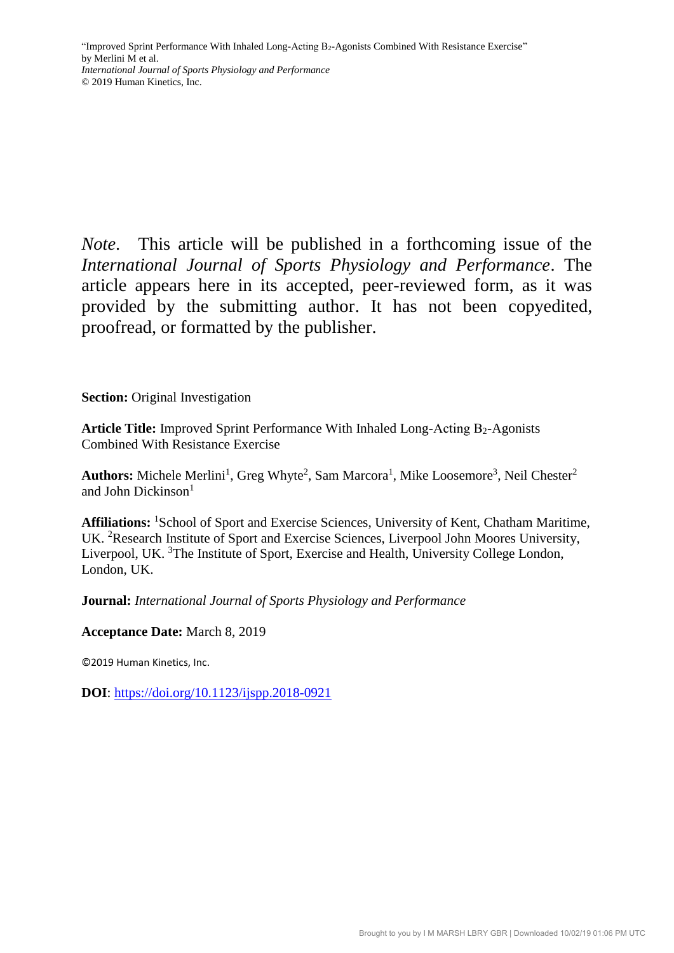*Note*. This article will be published in a forthcoming issue of the *International Journal of Sports Physiology and Performance*. The article appears here in its accepted, peer-reviewed form, as it was provided by the submitting author. It has not been copyedited, proofread, or formatted by the publisher.

**Section:** Original Investigation

Article Title: Improved Sprint Performance With Inhaled Long-Acting Β<sub>2</sub>-Agonists Combined With Resistance Exercise

Authors: Michele Merlini<sup>1</sup>, Greg Whyte<sup>2</sup>, Sam Marcora<sup>1</sup>, Mike Loosemore<sup>3</sup>, Neil Chester<sup>2</sup> and John Dickinson<sup>1</sup>

**Affiliations:** <sup>1</sup>School of Sport and Exercise Sciences, University of Kent, Chatham Maritime, UK. <sup>2</sup>Research Institute of Sport and Exercise Sciences, Liverpool John Moores University, Liverpool, UK. <sup>3</sup>The Institute of Sport, Exercise and Health, University College London, London, UK.

**Journal:** *International Journal of Sports Physiology and Performance*

**Acceptance Date:** March 8, 2019

©2019 Human Kinetics, Inc.

**DOI**:<https://doi.org/10.1123/ijspp.2018-0921>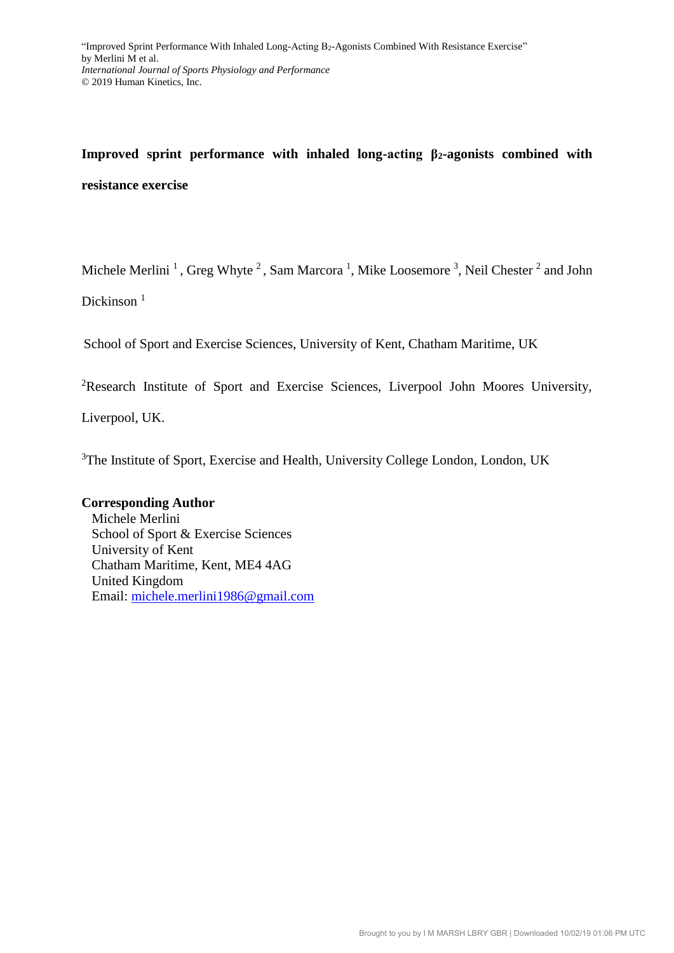# **Improved sprint performance with inhaled long-acting β2-agonists combined with resistance exercise**

Michele Merlini<sup>1</sup>, Greg Whyte<sup>2</sup>, Sam Marcora<sup>1</sup>, Mike Loosemore<sup>3</sup>, Neil Chester<sup>2</sup> and John

Dickinson<sup>1</sup>

School of Sport and Exercise Sciences, University of Kent, Chatham Maritime, UK

<sup>2</sup>Research Institute of Sport and Exercise Sciences, Liverpool John Moores University,

Liverpool, UK.

<sup>3</sup>The Institute of Sport, Exercise and Health, University College London, London, UK

## **Corresponding Author**

Michele Merlini School of Sport & Exercise Sciences University of Kent Chatham Maritime, Kent, ME4 4AG United Kingdom Email: [michele.merlini1986@gmail.com](mailto:michele.merlini1986@gmail.com)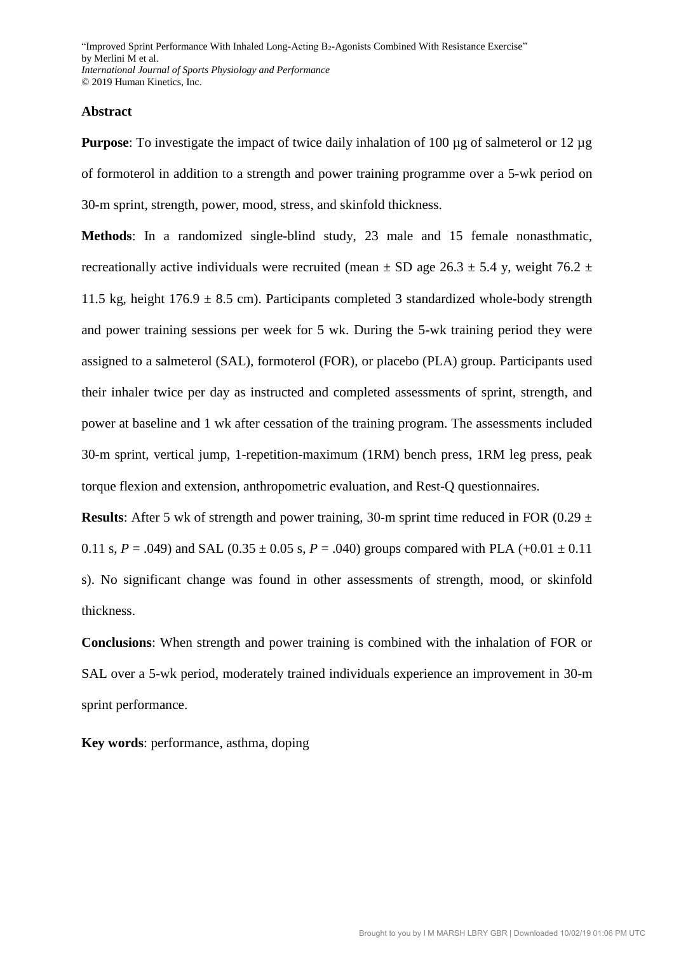#### **Abstract**

**Purpose**: To investigate the impact of twice daily inhalation of 100 µg of salmeterol or 12 µg of formoterol in addition to a strength and power training programme over a 5-wk period on 30-m sprint, strength, power, mood, stress, and skinfold thickness.

**Methods**: In a randomized single-blind study, 23 male and 15 female nonasthmatic, recreationally active individuals were recruited (mean  $\pm$  SD age 26.3  $\pm$  5.4 y, weight 76.2  $\pm$ 11.5 kg, height  $176.9 \pm 8.5$  cm). Participants completed 3 standardized whole-body strength and power training sessions per week for 5 wk. During the 5-wk training period they were assigned to a salmeterol (SAL), formoterol (FOR), or placebo (PLA) group. Participants used their inhaler twice per day as instructed and completed assessments of sprint, strength, and power at baseline and 1 wk after cessation of the training program. The assessments included 30-m sprint, vertical jump, 1-repetition-maximum (1RM) bench press, 1RM leg press, peak torque flexion and extension, anthropometric evaluation, and Rest-Q questionnaires.

**Results**: After 5 wk of strength and power training, 30-m sprint time reduced in FOR (0.29  $\pm$ 0.11 s,  $P = .049$ ) and SAL (0.35  $\pm$  0.05 s,  $P = .040$ ) groups compared with PLA (+0.01  $\pm$  0.11 s). No significant change was found in other assessments of strength, mood, or skinfold thickness.

**Conclusions**: When strength and power training is combined with the inhalation of FOR or SAL over a 5-wk period, moderately trained individuals experience an improvement in 30-m sprint performance.

**Key words**: performance, asthma, doping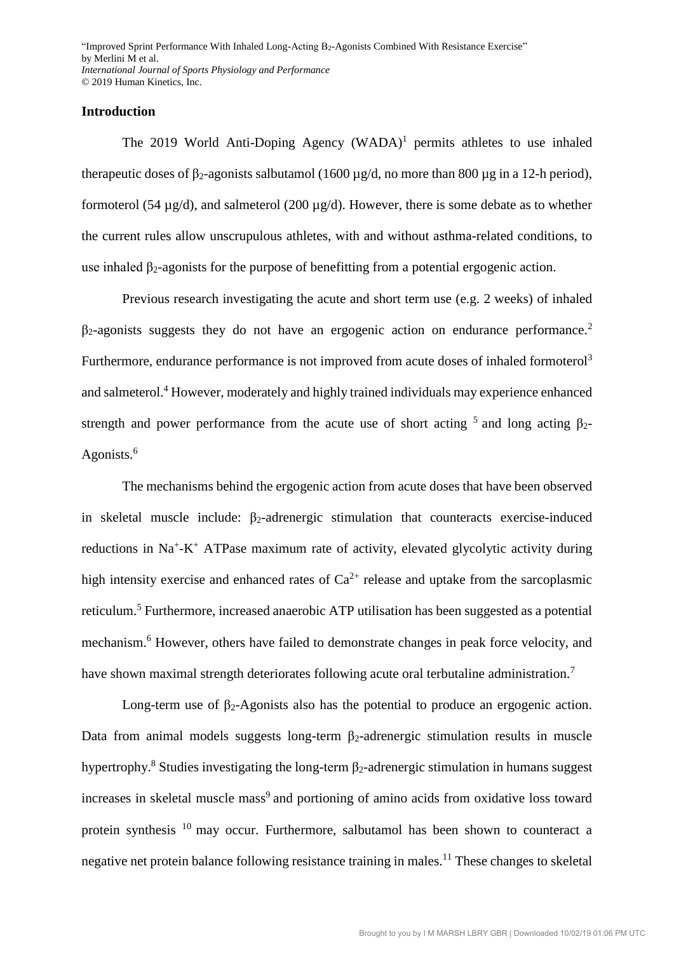#### **Introduction**

The 2019 World Anti-Doping Agency (WADA)<sup>1</sup> permits athletes to use inhaled therapeutic doses of β<sub>2</sub>-agonists salbutamol (1600 μg/d, no more than 800 μg in a 12-h period), formoterol (54  $\mu$ g/d), and salmeterol (200  $\mu$ g/d). However, there is some debate as to whether the current rules allow unscrupulous athletes, with and without asthma-related conditions, to use inhaled  $\beta_2$ -agonists for the purpose of benefitting from a potential ergogenic action.

Previous research investigating the acute and short term use (e.g. 2 weeks) of inhaled  $\beta_2$ -agonists suggests they do not have an ergogenic action on endurance performance.<sup>2</sup> Furthermore, endurance performance is not improved from acute doses of inhaled formoterol<sup>3</sup> and salmeterol. <sup>4</sup> However, moderately and highly trained individuals may experience enhanced strength and power performance from the acute use of short acting  $5$  and long acting  $\beta_2$ -Agonists.<sup>6</sup>

The mechanisms behind the ergogenic action from acute doses that have been observed in skeletal muscle include:  $\beta_2$ -adrenergic stimulation that counteracts exercise-induced reductions in Na<sup>+</sup>-K<sup>+</sup> ATPase maximum rate of activity, elevated glycolytic activity during high intensity exercise and enhanced rates of  $Ca^{2+}$  release and uptake from the sarcoplasmic reticulum.<sup>5</sup> Furthermore, increased anaerobic ATP utilisation has been suggested as a potential mechanism. <sup>6</sup> However, others have failed to demonstrate changes in peak force velocity, and have shown maximal strength deteriorates following acute oral terbutaline administration.<sup>7</sup>

Long-term use of  $β_2$ -Agonists also has the potential to produce an ergogenic action. Data from animal models suggests long-term  $\beta_2$ -adrenergic stimulation results in muscle hypertrophy.<sup>8</sup> Studies investigating the long-term  $\beta_2$ -adrenergic stimulation in humans suggest increases in skeletal muscle mass<sup>9</sup> and portioning of amino acids from oxidative loss toward protein synthesis <sup>10</sup> may occur. Furthermore, salbutamol has been shown to counteract a negative net protein balance following resistance training in males.<sup>11</sup> These changes to skeletal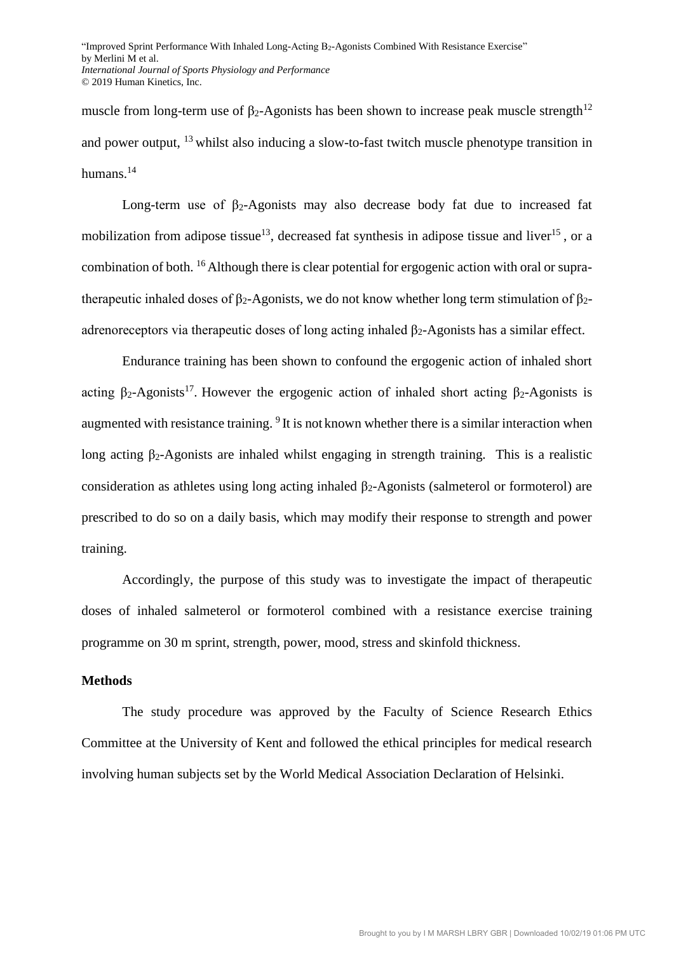muscle from long-term use of β<sub>2</sub>-Agonists has been shown to increase peak muscle strength<sup>12</sup> and power output, <sup>13</sup> whilst also inducing a slow-to-fast twitch muscle phenotype transition in humans.<sup>14</sup>

Long-term use of  $\beta_2$ -Agonists may also decrease body fat due to increased fat mobilization from adipose tissue<sup>13</sup>, decreased fat synthesis in adipose tissue and liver<sup>15</sup>, or a combination of both. <sup>16</sup> Although there is clear potential for ergogenic action with oral or supratherapeutic inhaled doses of  $\beta_2$ -Agonists, we do not know whether long term stimulation of  $\beta_2$ adrenoreceptors via therapeutic doses of long acting inhaled  $\beta_2$ -Agonists has a similar effect.

Endurance training has been shown to confound the ergogenic action of inhaled short acting  $\beta_2$ -Agonists<sup>17</sup>. However the ergogenic action of inhaled short acting  $\beta_2$ -Agonists is augmented with resistance training. <sup>9</sup> It is not known whether there is a similar interaction when long acting β2-Agonists are inhaled whilst engaging in strength training. This is a realistic consideration as athletes using long acting inhaled  $β<sub>2</sub>$ -Agonists (salmeterol or formoterol) are prescribed to do so on a daily basis, which may modify their response to strength and power training.

Accordingly, the purpose of this study was to investigate the impact of therapeutic doses of inhaled salmeterol or formoterol combined with a resistance exercise training programme on 30 m sprint, strength, power, mood, stress and skinfold thickness.

## **Methods**

The study procedure was approved by the Faculty of Science Research Ethics Committee at the University of Kent and followed the ethical principles for medical research involving human subjects set by the World Medical Association Declaration of Helsinki.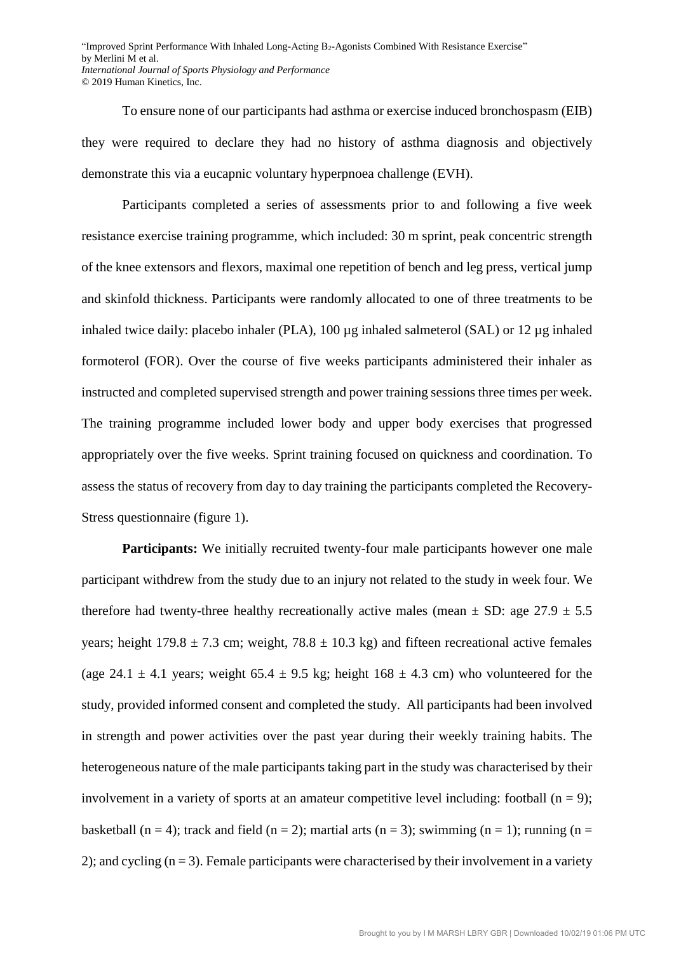To ensure none of our participants had asthma or exercise induced bronchospasm (EIB) they were required to declare they had no history of asthma diagnosis and objectively demonstrate this via a eucapnic voluntary hyperpnoea challenge (EVH).

Participants completed a series of assessments prior to and following a five week resistance exercise training programme, which included: 30 m sprint, peak concentric strength of the knee extensors and flexors, maximal one repetition of bench and leg press, vertical jump and skinfold thickness. Participants were randomly allocated to one of three treatments to be inhaled twice daily: placebo inhaler (PLA), 100 µg inhaled salmeterol (SAL) or 12 µg inhaled formoterol (FOR). Over the course of five weeks participants administered their inhaler as instructed and completed supervised strength and power training sessions three times per week. The training programme included lower body and upper body exercises that progressed appropriately over the five weeks. Sprint training focused on quickness and coordination. To assess the status of recovery from day to day training the participants completed the Recovery-Stress questionnaire (figure 1).

**Participants:** We initially recruited twenty-four male participants however one male participant withdrew from the study due to an injury not related to the study in week four. We therefore had twenty-three healthy recreationally active males (mean  $\pm$  SD: age 27.9  $\pm$  5.5 years; height  $179.8 \pm 7.3$  cm; weight,  $78.8 \pm 10.3$  kg) and fifteen recreational active females (age 24.1  $\pm$  4.1 years; weight 65.4  $\pm$  9.5 kg; height 168  $\pm$  4.3 cm) who volunteered for the study, provided informed consent and completed the study. All participants had been involved in strength and power activities over the past year during their weekly training habits. The heterogeneous nature of the male participants taking part in the study was characterised by their involvement in a variety of sports at an amateur competitive level including: football  $(n = 9)$ ; basketball (n = 4); track and field (n = 2); martial arts (n = 3); swimming (n = 1); running (n = 2); and cycling  $(n = 3)$ . Female participants were characterised by their involvement in a variety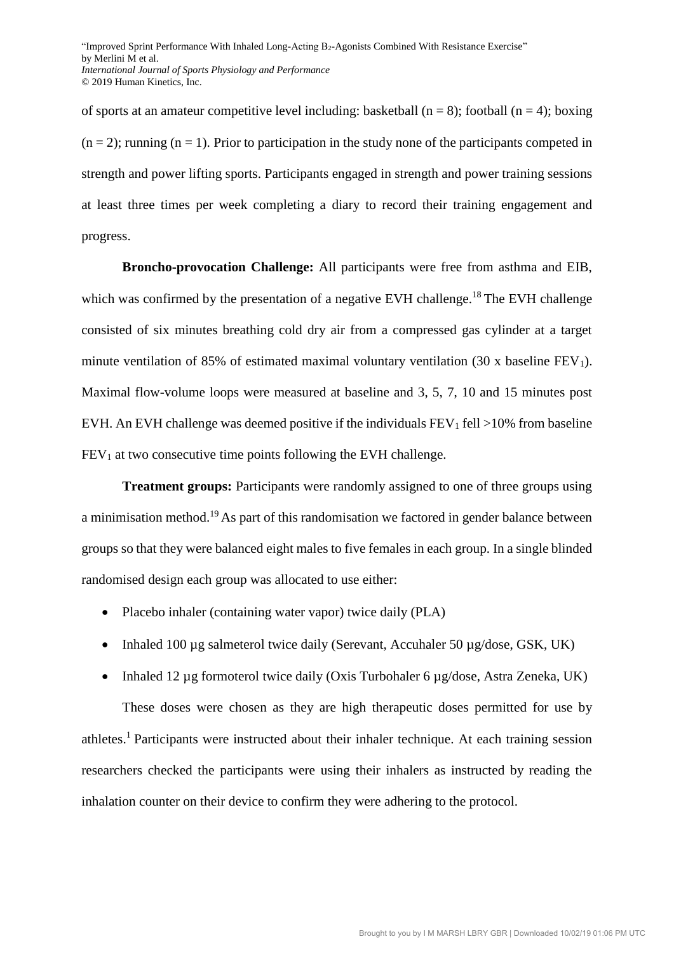of sports at an amateur competitive level including: basketball ( $n = 8$ ); football ( $n = 4$ ); boxing  $(n = 2)$ ; running  $(n = 1)$ . Prior to participation in the study none of the participants competed in strength and power lifting sports. Participants engaged in strength and power training sessions at least three times per week completing a diary to record their training engagement and progress.

**Broncho-provocation Challenge:** All participants were free from asthma and EIB, which was confirmed by the presentation of a negative EVH challenge.<sup>18</sup> The EVH challenge consisted of six minutes breathing cold dry air from a compressed gas cylinder at a target minute ventilation of 85% of estimated maximal voluntary ventilation (30 x baseline  $FEV<sub>1</sub>$ ). Maximal flow-volume loops were measured at baseline and 3, 5, 7, 10 and 15 minutes post EVH. An EVH challenge was deemed positive if the individuals  $FEV<sub>1</sub>$  fell >10% from baseline  $FEV<sub>1</sub>$  at two consecutive time points following the EVH challenge.

**Treatment groups:** Participants were randomly assigned to one of three groups using a minimisation method.<sup>19</sup> As part of this randomisation we factored in gender balance between groups so that they were balanced eight males to five females in each group. In a single blinded randomised design each group was allocated to use either:

- Placebo inhaler (containing water vapor) twice daily (PLA)
- Inhaled 100  $\mu$ g salmeterol twice daily (Serevant, Accuhaler 50  $\mu$ g/dose, GSK, UK)
- Inhaled 12 ug formoterol twice daily (Oxis Turbohaler 6 ug/dose, Astra Zeneka, UK)

These doses were chosen as they are high therapeutic doses permitted for use by athletes.<sup>1</sup> Participants were instructed about their inhaler technique. At each training session researchers checked the participants were using their inhalers as instructed by reading the inhalation counter on their device to confirm they were adhering to the protocol.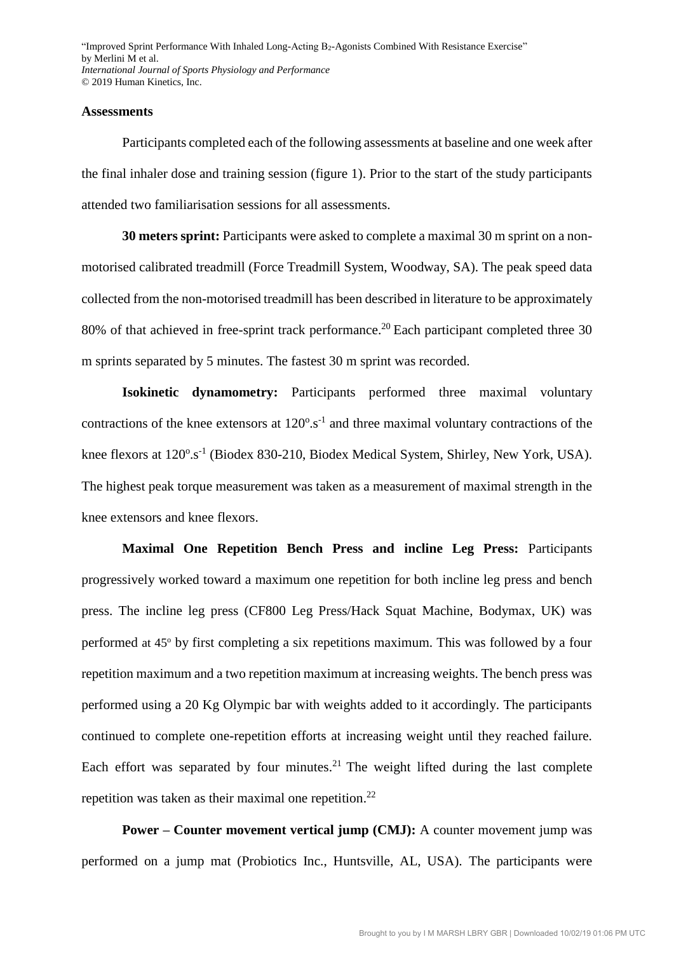#### **Assessments**

Participants completed each of the following assessments at baseline and one week after the final inhaler dose and training session (figure 1). Prior to the start of the study participants attended two familiarisation sessions for all assessments.

**30 meters sprint:** Participants were asked to complete a maximal 30 m sprint on a nonmotorised calibrated treadmill (Force Treadmill System, Woodway, SA). The peak speed data collected from the non-motorised treadmill has been described in literature to be approximately 80% of that achieved in free-sprint track performance.<sup>20</sup> Each participant completed three 30 m sprints separated by 5 minutes. The fastest 30 m sprint was recorded.

**Isokinetic dynamometry:** Participants performed three maximal voluntary contractions of the knee extensors at  $120^{\circ}.s^{-1}$  and three maximal voluntary contractions of the knee flexors at 120°.s<sup>-1</sup> (Biodex 830-210, Biodex Medical System, Shirley, New York, USA). The highest peak torque measurement was taken as a measurement of maximal strength in the knee extensors and knee flexors.

**Maximal One Repetition Bench Press and incline Leg Press:** Participants progressively worked toward a maximum one repetition for both incline leg press and bench press. The incline leg press (CF800 Leg Press/Hack Squat Machine, Bodymax, UK) was performed at 45<sup>°</sup> by first completing a six repetitions maximum. This was followed by a four repetition maximum and a two repetition maximum at increasing weights. The bench press was performed using a 20 Kg Olympic bar with weights added to it accordingly. The participants continued to complete one-repetition efforts at increasing weight until they reached failure. Each effort was separated by four minutes.<sup>21</sup> The weight lifted during the last complete repetition was taken as their maximal one repetition.<sup>22</sup>

**Power – Counter movement vertical jump (CMJ):** A counter movement jump was performed on a jump mat (Probiotics Inc., Huntsville, AL, USA). The participants were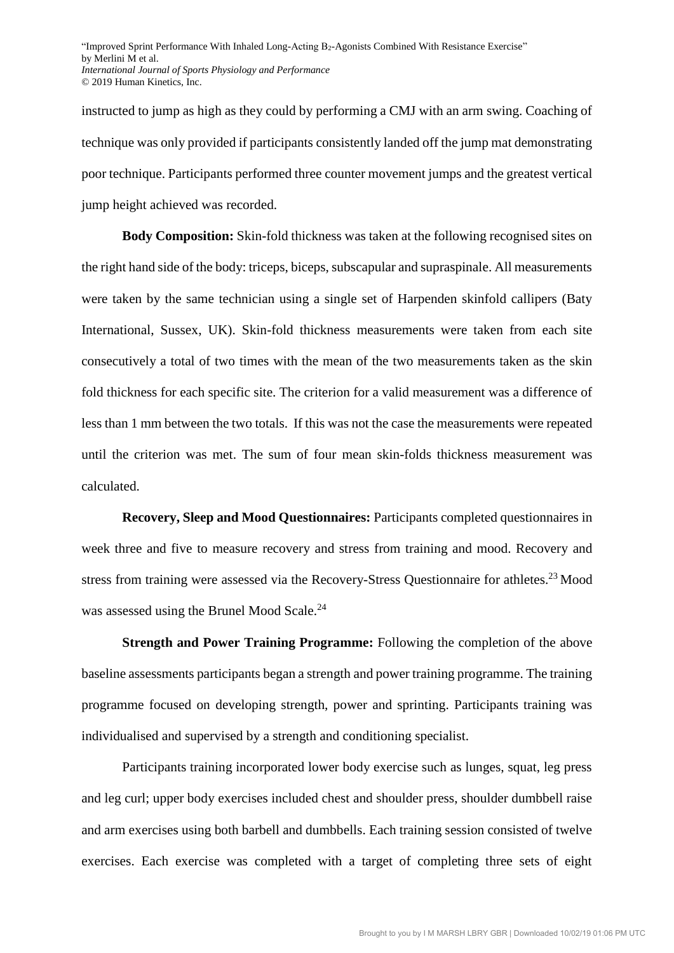instructed to jump as high as they could by performing a CMJ with an arm swing. Coaching of technique was only provided if participants consistently landed off the jump mat demonstrating poor technique. Participants performed three counter movement jumps and the greatest vertical jump height achieved was recorded.

**Body Composition:** Skin-fold thickness was taken at the following recognised sites on the right hand side of the body: triceps, biceps, subscapular and supraspinale. All measurements were taken by the same technician using a single set of Harpenden skinfold callipers (Baty International, Sussex, UK). Skin-fold thickness measurements were taken from each site consecutively a total of two times with the mean of the two measurements taken as the skin fold thickness for each specific site. The criterion for a valid measurement was a difference of less than 1 mm between the two totals. If this was not the case the measurements were repeated until the criterion was met. The sum of four mean skin-folds thickness measurement was calculated.

**Recovery, Sleep and Mood Questionnaires:** Participants completed questionnaires in week three and five to measure recovery and stress from training and mood. Recovery and stress from training were assessed via the Recovery-Stress Questionnaire for athletes.<sup>23</sup> Mood was assessed using the Brunel Mood Scale. 24

**Strength and Power Training Programme:** Following the completion of the above baseline assessments participants began a strength and power training programme. The training programme focused on developing strength, power and sprinting. Participants training was individualised and supervised by a strength and conditioning specialist.

Participants training incorporated lower body exercise such as lunges, squat, leg press and leg curl; upper body exercises included chest and shoulder press, shoulder dumbbell raise and arm exercises using both barbell and dumbbells. Each training session consisted of twelve exercises. Each exercise was completed with a target of completing three sets of eight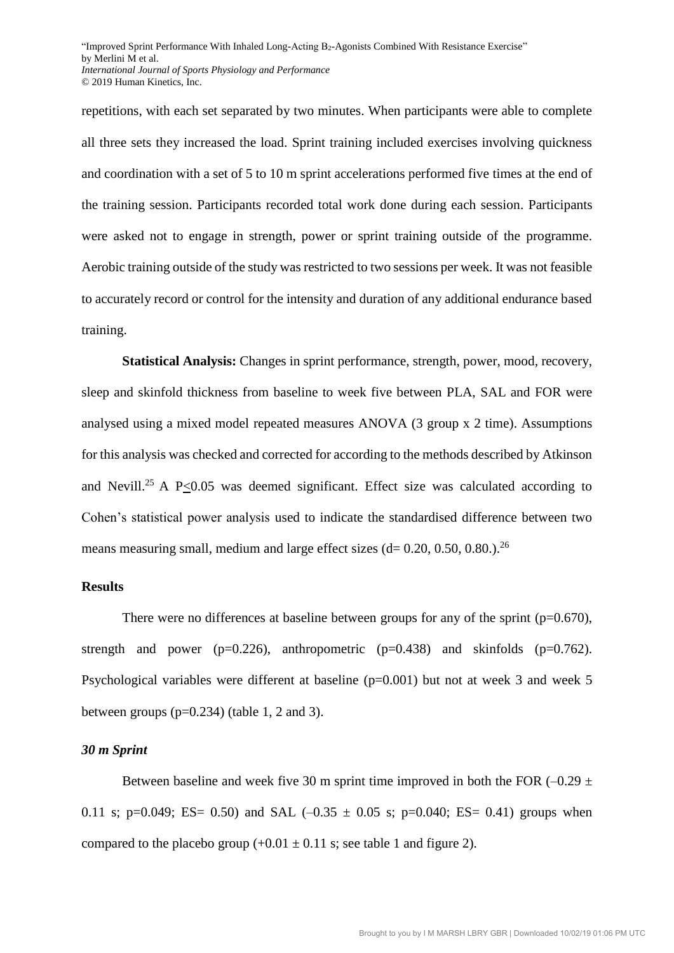repetitions, with each set separated by two minutes. When participants were able to complete all three sets they increased the load. Sprint training included exercises involving quickness and coordination with a set of 5 to 10 m sprint accelerations performed five times at the end of the training session. Participants recorded total work done during each session. Participants were asked not to engage in strength, power or sprint training outside of the programme. Aerobic training outside of the study was restricted to two sessions per week. It was not feasible to accurately record or control for the intensity and duration of any additional endurance based training.

**Statistical Analysis:** Changes in sprint performance, strength, power, mood, recovery, sleep and skinfold thickness from baseline to week five between PLA, SAL and FOR were analysed using a mixed model repeated measures ANOVA (3 group x 2 time). Assumptions for this analysis was checked and corrected for according to the methods described by Atkinson and Nevill.<sup>25</sup> A P $\leq$ 0.05 was deemed significant. Effect size was calculated according to Cohen's statistical power analysis used to indicate the standardised difference between two means measuring small, medium and large effect sizes  $(d= 0.20, 0.50, 0.80.)$ <sup>26</sup>

### **Results**

There were no differences at baseline between groups for any of the sprint  $(p=0.670)$ , strength and power ( $p=0.226$ ), anthropometric ( $p=0.438$ ) and skinfolds ( $p=0.762$ ). Psychological variables were different at baseline (p=0.001) but not at week 3 and week 5 between groups  $(p=0.234)$  (table 1, 2 and 3).

#### *30 m Sprint*

Between baseline and week five 30 m sprint time improved in both the FOR  $(-0.29 \pm 1.00)$ 0.11 s; p=0.049; ES= 0.50) and SAL  $(-0.35 \pm 0.05 \text{ s}$ ; p=0.040; ES= 0.41) groups when compared to the placebo group  $(+0.01 \pm 0.11 \text{ s})$ ; see table 1 and figure 2).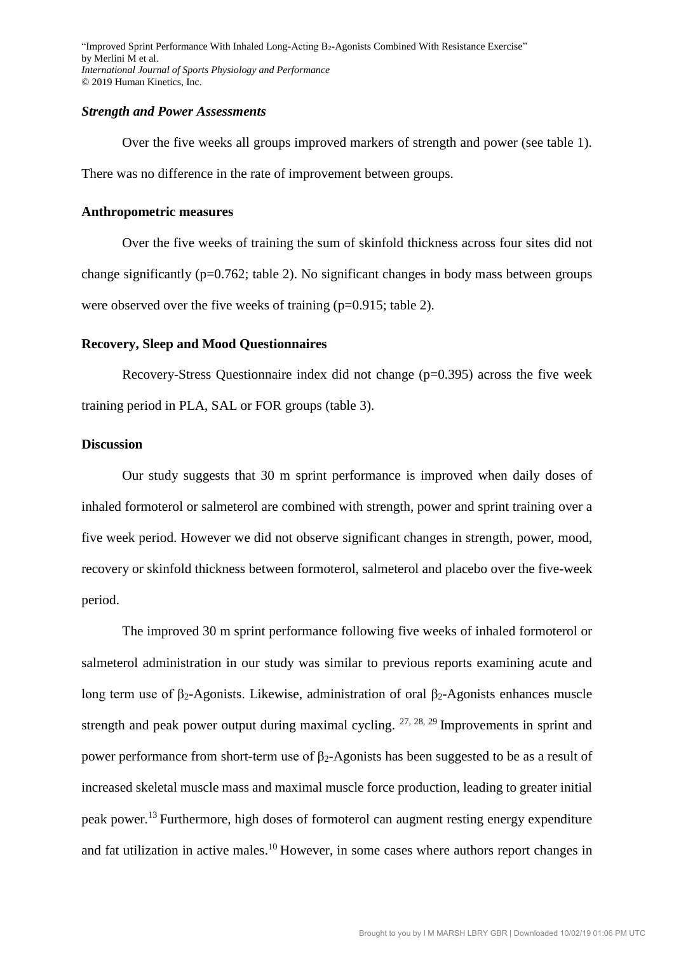#### *Strength and Power Assessments*

Over the five weeks all groups improved markers of strength and power (see table 1). There was no difference in the rate of improvement between groups.

### **Anthropometric measures**

Over the five weeks of training the sum of skinfold thickness across four sites did not change significantly ( $p=0.762$ ; table 2). No significant changes in body mass between groups were observed over the five weeks of training (p=0.915; table 2).

#### **Recovery, Sleep and Mood Questionnaires**

Recovery-Stress Questionnaire index did not change (p=0.395) across the five week training period in PLA, SAL or FOR groups (table 3).

# **Discussion**

Our study suggests that 30 m sprint performance is improved when daily doses of inhaled formoterol or salmeterol are combined with strength, power and sprint training over a five week period. However we did not observe significant changes in strength, power, mood, recovery or skinfold thickness between formoterol, salmeterol and placebo over the five-week period.

The improved 30 m sprint performance following five weeks of inhaled formoterol or salmeterol administration in our study was similar to previous reports examining acute and long term use of β<sub>2</sub>-Agonists. Likewise, administration of oral β<sub>2</sub>-Agonists enhances muscle strength and peak power output during maximal cycling.  $27, 28, 29$  Improvements in sprint and power performance from short-term use of  $β<sub>2</sub>$ -Agonists has been suggested to be as a result of increased skeletal muscle mass and maximal muscle force production, leading to greater initial peak power.<sup>13</sup> Furthermore, high doses of formoterol can augment resting energy expenditure and fat utilization in active males.<sup>10</sup> However, in some cases where authors report changes in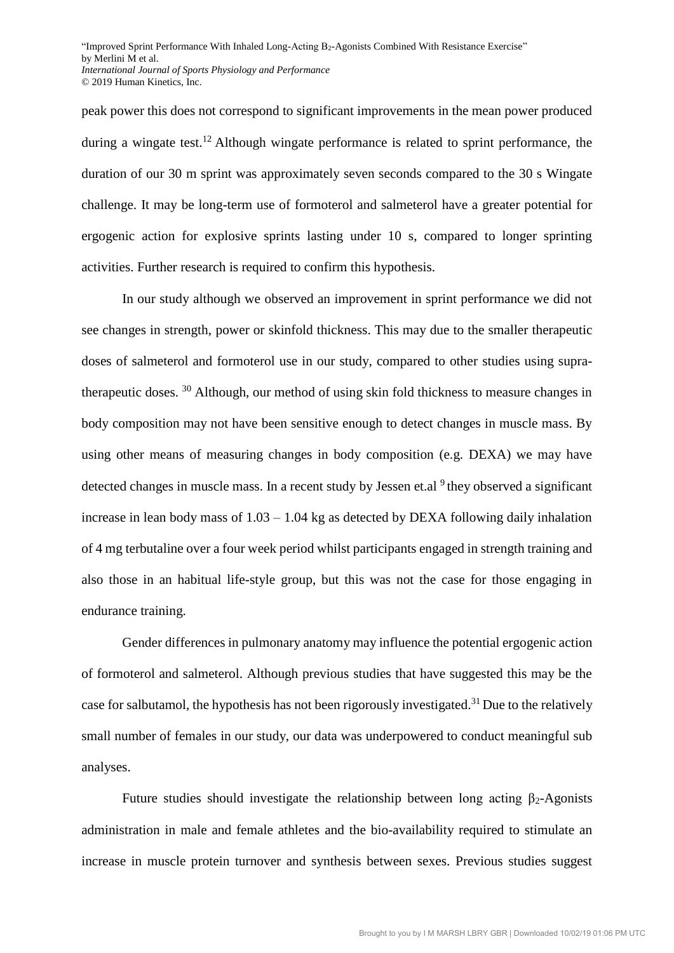peak power this does not correspond to significant improvements in the mean power produced during a wingate test.<sup>12</sup> Although wingate performance is related to sprint performance, the duration of our 30 m sprint was approximately seven seconds compared to the 30 s Wingate challenge. It may be long-term use of formoterol and salmeterol have a greater potential for ergogenic action for explosive sprints lasting under 10 s, compared to longer sprinting activities. Further research is required to confirm this hypothesis.

In our study although we observed an improvement in sprint performance we did not see changes in strength, power or skinfold thickness. This may due to the smaller therapeutic doses of salmeterol and formoterol use in our study, compared to other studies using supratherapeutic doses. <sup>30</sup> Although, our method of using skin fold thickness to measure changes in body composition may not have been sensitive enough to detect changes in muscle mass. By using other means of measuring changes in body composition (e.g. DEXA) we may have detected changes in muscle mass. In a recent study by Jessen et.al <sup>9</sup>they observed a significant increase in lean body mass of 1.03 – 1.04 kg as detected by DEXA following daily inhalation of 4 mg terbutaline over a four week period whilst participants engaged in strength training and also those in an habitual life-style group, but this was not the case for those engaging in endurance training.

Gender differences in pulmonary anatomy may influence the potential ergogenic action of formoterol and salmeterol. Although previous studies that have suggested this may be the case for salbutamol, the hypothesis has not been rigorously investigated.<sup>31</sup> Due to the relatively small number of females in our study, our data was underpowered to conduct meaningful sub analyses.

Future studies should investigate the relationship between long acting  $\beta_2$ -Agonists administration in male and female athletes and the bio-availability required to stimulate an increase in muscle protein turnover and synthesis between sexes. Previous studies suggest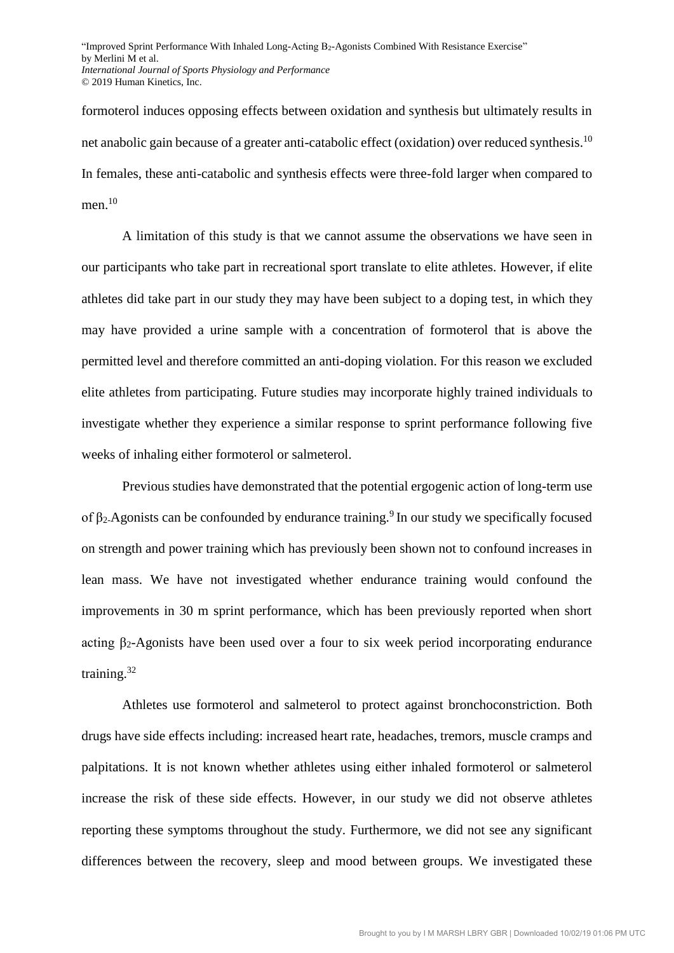formoterol induces opposing effects between oxidation and synthesis but ultimately results in net anabolic gain because of a greater anti-catabolic effect (oxidation) over reduced synthesis.<sup>10</sup> In females, these anti-catabolic and synthesis effects were three-fold larger when compared to men. 10

A limitation of this study is that we cannot assume the observations we have seen in our participants who take part in recreational sport translate to elite athletes. However, if elite athletes did take part in our study they may have been subject to a doping test, in which they may have provided a urine sample with a concentration of formoterol that is above the permitted level and therefore committed an anti-doping violation. For this reason we excluded elite athletes from participating. Future studies may incorporate highly trained individuals to investigate whether they experience a similar response to sprint performance following five weeks of inhaling either formoterol or salmeterol.

Previous studies have demonstrated that the potential ergogenic action of long-term use of  $\beta_2$ -Agonists can be confounded by endurance training.<sup>9</sup> In our study we specifically focused on strength and power training which has previously been shown not to confound increases in lean mass. We have not investigated whether endurance training would confound the improvements in 30 m sprint performance, which has been previously reported when short acting  $\beta_2$ -Agonists have been used over a four to six week period incorporating endurance training.<sup>32</sup>

Athletes use formoterol and salmeterol to protect against bronchoconstriction. Both drugs have side effects including: increased heart rate, headaches, tremors, muscle cramps and palpitations. It is not known whether athletes using either inhaled formoterol or salmeterol increase the risk of these side effects. However, in our study we did not observe athletes reporting these symptoms throughout the study. Furthermore, we did not see any significant differences between the recovery, sleep and mood between groups. We investigated these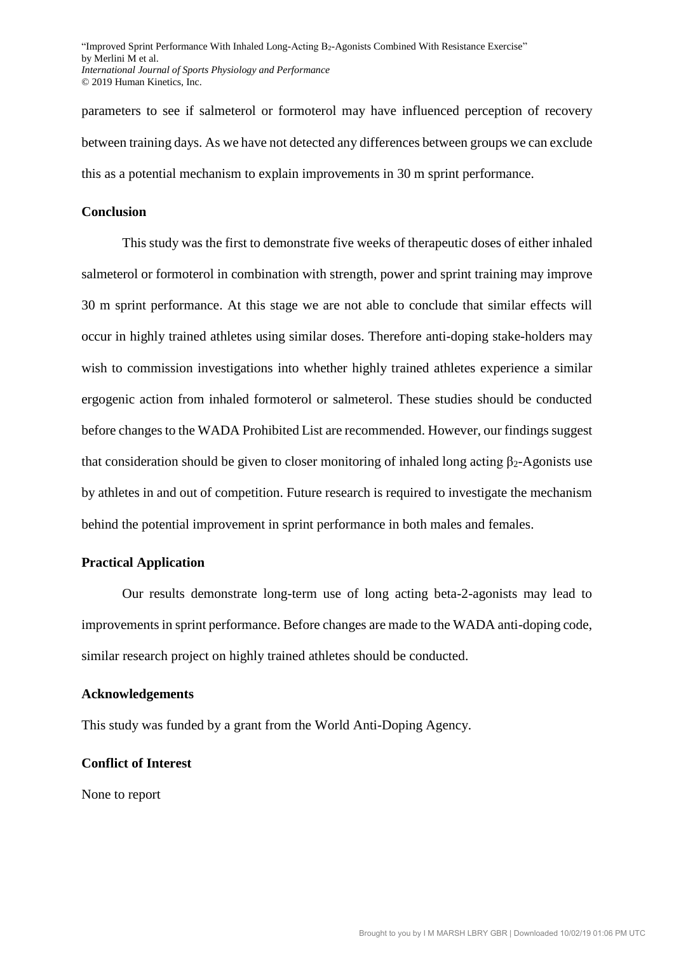parameters to see if salmeterol or formoterol may have influenced perception of recovery between training days. As we have not detected any differences between groups we can exclude this as a potential mechanism to explain improvements in 30 m sprint performance.

#### **Conclusion**

This study was the first to demonstrate five weeks of therapeutic doses of either inhaled salmeterol or formoterol in combination with strength, power and sprint training may improve 30 m sprint performance. At this stage we are not able to conclude that similar effects will occur in highly trained athletes using similar doses. Therefore anti-doping stake-holders may wish to commission investigations into whether highly trained athletes experience a similar ergogenic action from inhaled formoterol or salmeterol. These studies should be conducted before changes to the WADA Prohibited List are recommended. However, our findings suggest that consideration should be given to closer monitoring of inhaled long acting  $\beta_2$ -Agonists use by athletes in and out of competition. Future research is required to investigate the mechanism behind the potential improvement in sprint performance in both males and females.

#### **Practical Application**

Our results demonstrate long-term use of long acting beta-2-agonists may lead to improvements in sprint performance. Before changes are made to the WADA anti-doping code, similar research project on highly trained athletes should be conducted.

#### **Acknowledgements**

This study was funded by a grant from the World Anti-Doping Agency.

## **Conflict of Interest**

None to report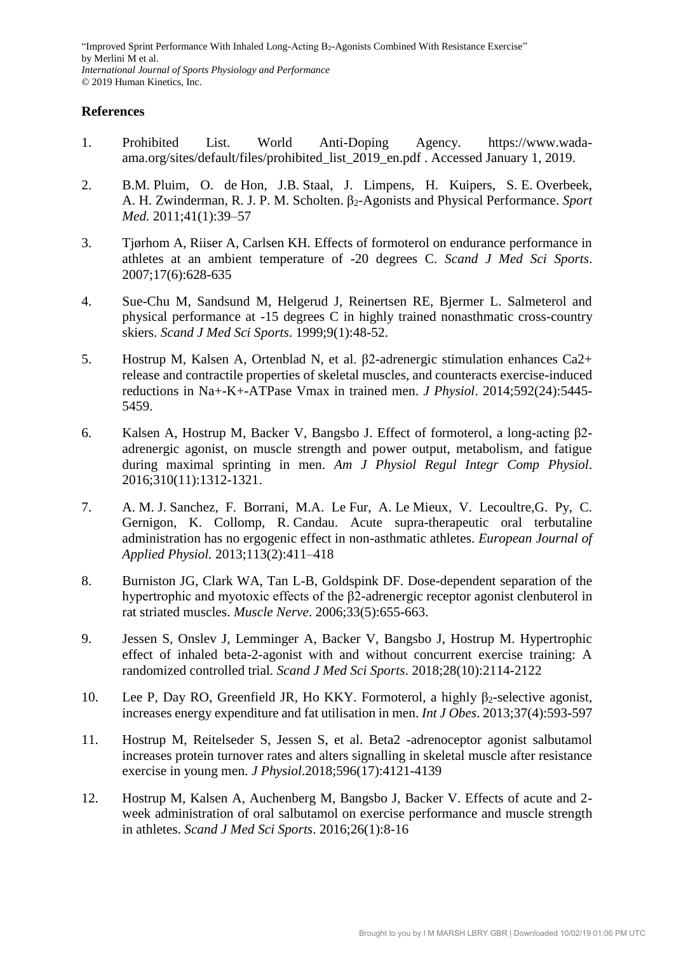# **References**

- 1. Prohibited List. World Anti-Doping Agency. https://www.wadaama.org/sites/default/files/prohibited\_list\_2019\_en.pdf . Accessed January 1, 2019.
- 2. B.M. Pluim, O. de Hon, J.B. Staal, J. Limpens, H. Kuipers, S. E. Overbeek, A. H. Zwinderman, R. J. P. M. Scholten. β2-Agonists and Physical Performance. *Sport Med.* 2011;41(1):39–57
- 3. Tjørhom A, Riiser A, Carlsen KH. Effects of formoterol on endurance performance in athletes at an ambient temperature of -20 degrees C. *Scand J Med Sci Sports*. 2007;17(6):628-635
- 4. Sue-Chu M, Sandsund M, Helgerud J, Reinertsen RE, Bjermer L. Salmeterol and physical performance at -15 degrees C in highly trained nonasthmatic cross-country skiers. *Scand J Med Sci Sports*. 1999;9(1):48-52.
- 5. Hostrup M, Kalsen A, Ortenblad N, et al. β2-adrenergic stimulation enhances Ca2+ release and contractile properties of skeletal muscles, and counteracts exercise-induced reductions in Na+-K+-ATPase Vmax in trained men. *J Physiol*. 2014;592(24):5445- 5459.
- 6. Kalsen A, Hostrup M, Backer V, Bangsbo J. Effect of formoterol, a long-acting β2 adrenergic agonist, on muscle strength and power output, metabolism, and fatigue during maximal sprinting in men. *Am J Physiol Regul Integr Comp Physiol*. 2016;310(11):1312-1321.
- 7. A. M. J. Sanchez, F. Borrani, M.A. Le Fur, A. Le Mieux, V. Lecoultre,G. Py, C. Gernigon, K. Collomp, R. Candau. Acute supra-therapeutic oral terbutaline administration has no ergogenic effect in non-asthmatic athletes. *European Journal of Applied Physiol.* 2013;113(2):411–418
- 8. Burniston JG, Clark WA, Tan L-B, Goldspink DF. Dose-dependent separation of the hypertrophic and myotoxic effects of the β2-adrenergic receptor agonist clenbuterol in rat striated muscles. *Muscle Nerve*. 2006;33(5):655-663.
- 9. Jessen S, Onslev J, Lemminger A, Backer V, Bangsbo J, Hostrup M. Hypertrophic effect of inhaled beta-2-agonist with and without concurrent exercise training: A randomized controlled trial. *Scand J Med Sci Sports*. 2018;28(10):2114-2122
- 10. Lee P, Day RO, Greenfield JR, Ho KKY. Formoterol, a highly  $\beta_2$ -selective agonist, increases energy expenditure and fat utilisation in men. *Int J Obes*. 2013;37(4):593-597
- 11. Hostrup M, Reitelseder S, Jessen S, et al. Beta2 -adrenoceptor agonist salbutamol increases protein turnover rates and alters signalling in skeletal muscle after resistance exercise in young men. *J Physiol*.2018;596(17):4121-4139
- 12. Hostrup M, Kalsen A, Auchenberg M, Bangsbo J, Backer V. Effects of acute and 2 week administration of oral salbutamol on exercise performance and muscle strength in athletes. *Scand J Med Sci Sports*. 2016;26(1):8-16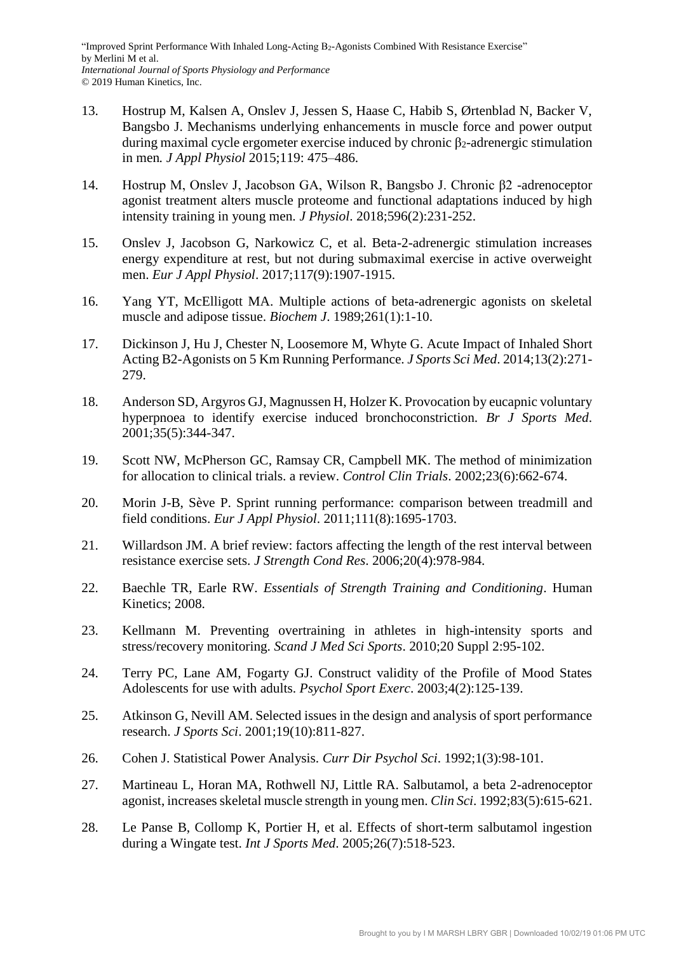- 13. Hostrup M, Kalsen A, Onslev J, Jessen S, Haase C, Habib S, Ørtenblad N, Backer V, Bangsbo J. Mechanisms underlying enhancements in muscle force and power output during maximal cycle ergometer exercise induced by chronic  $β_2$ -adrenergic stimulation in men*. J Appl Physiol* 2015;119: 475–486.
- 14. Hostrup M, Onslev J, Jacobson GA, Wilson R, Bangsbo J. Chronic β2 -adrenoceptor agonist treatment alters muscle proteome and functional adaptations induced by high intensity training in young men. *J Physiol*. 2018;596(2):231-252.
- 15. Onslev J, Jacobson G, Narkowicz C, et al. Beta-2-adrenergic stimulation increases energy expenditure at rest, but not during submaximal exercise in active overweight men. *Eur J Appl Physiol*. 2017;117(9):1907-1915.
- 16. Yang YT, McElligott MA. Multiple actions of beta-adrenergic agonists on skeletal muscle and adipose tissue. *Biochem J*. 1989;261(1):1-10.
- 17. Dickinson J, Hu J, Chester N, Loosemore M, Whyte G. Acute Impact of Inhaled Short Acting B2-Agonists on 5 Km Running Performance. *J Sports Sci Med*. 2014;13(2):271- 279.
- 18. Anderson SD, Argyros GJ, Magnussen H, Holzer K. Provocation by eucapnic voluntary hyperpnoea to identify exercise induced bronchoconstriction. *Br J Sports Med*. 2001;35(5):344-347.
- 19. Scott NW, McPherson GC, Ramsay CR, Campbell MK. The method of minimization for allocation to clinical trials. a review. *Control Clin Trials*. 2002;23(6):662-674.
- 20. Morin J-B, Sève P. Sprint running performance: comparison between treadmill and field conditions. *Eur J Appl Physiol*. 2011;111(8):1695-1703.
- 21. Willardson JM. A brief review: factors affecting the length of the rest interval between resistance exercise sets. *J Strength Cond Res*. 2006;20(4):978-984.
- 22. Baechle TR, Earle RW. *Essentials of Strength Training and Conditioning*. Human Kinetics; 2008.
- 23. Kellmann M. Preventing overtraining in athletes in high-intensity sports and stress/recovery monitoring. *Scand J Med Sci Sports*. 2010;20 Suppl 2:95-102.
- 24. Terry PC, Lane AM, Fogarty GJ. Construct validity of the Profile of Mood States Adolescents for use with adults. *Psychol Sport Exerc*. 2003;4(2):125-139.
- 25. Atkinson G, Nevill AM. Selected issues in the design and analysis of sport performance research. *J Sports Sci*. 2001;19(10):811-827.
- 26. Cohen J. Statistical Power Analysis. *Curr Dir Psychol Sci*. 1992;1(3):98-101.
- 27. Martineau L, Horan MA, Rothwell NJ, Little RA. Salbutamol, a beta 2-adrenoceptor agonist, increases skeletal muscle strength in young men. *Clin Sci*. 1992;83(5):615-621.
- 28. Le Panse B, Collomp K, Portier H, et al. Effects of short-term salbutamol ingestion during a Wingate test. *Int J Sports Med*. 2005;26(7):518-523.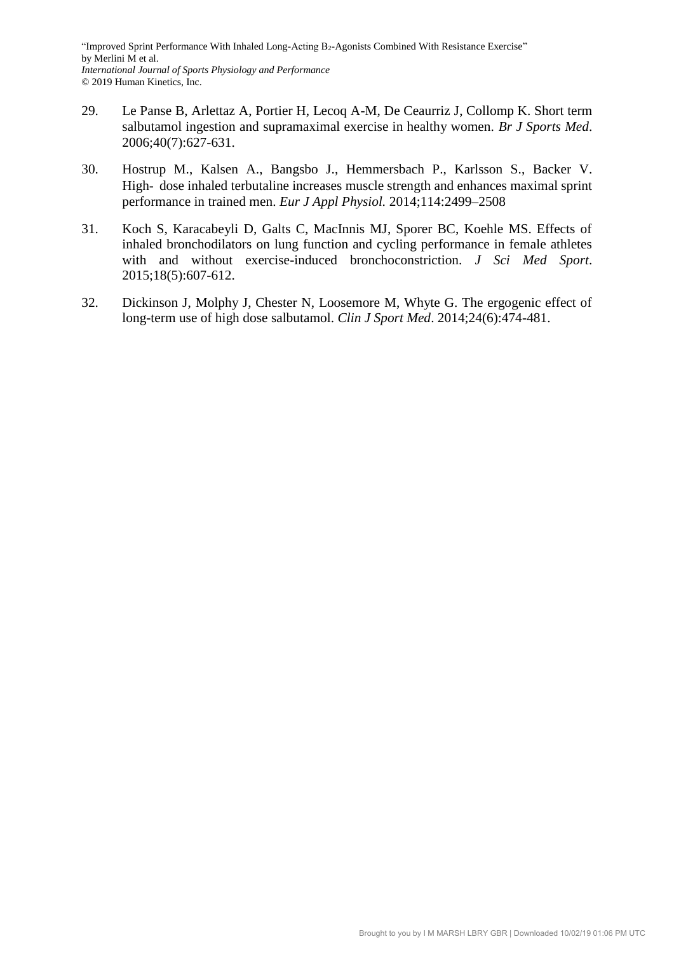- 29. Le Panse B, Arlettaz A, Portier H, Lecoq A-M, De Ceaurriz J, Collomp K. Short term salbutamol ingestion and supramaximal exercise in healthy women. *Br J Sports Med*. 2006;40(7):627-631.
- 30. Hostrup M., Kalsen A., Bangsbo J., Hemmersbach P., Karlsson S., Backer V. High-dose inhaled terbutaline increases muscle strength and enhances maximal sprint performance in trained men. *Eur J Appl Physiol.* 2014;114:2499–2508
- 31. Koch S, Karacabeyli D, Galts C, MacInnis MJ, Sporer BC, Koehle MS. Effects of inhaled bronchodilators on lung function and cycling performance in female athletes with and without exercise-induced bronchoconstriction. *J Sci Med Sport*. 2015;18(5):607-612.
- 32. Dickinson J, Molphy J, Chester N, Loosemore M, Whyte G. The ergogenic effect of long-term use of high dose salbutamol. *Clin J Sport Med*. 2014;24(6):474-481.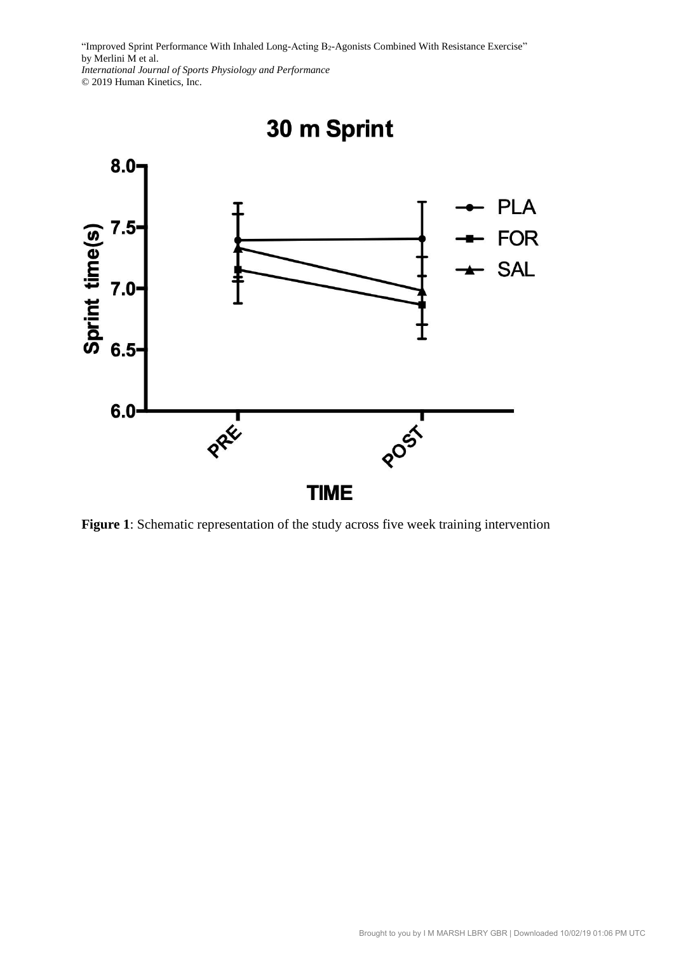© 2019 Human Kinetics, Inc.



**Figure 1**: Schematic representation of the study across five week training intervention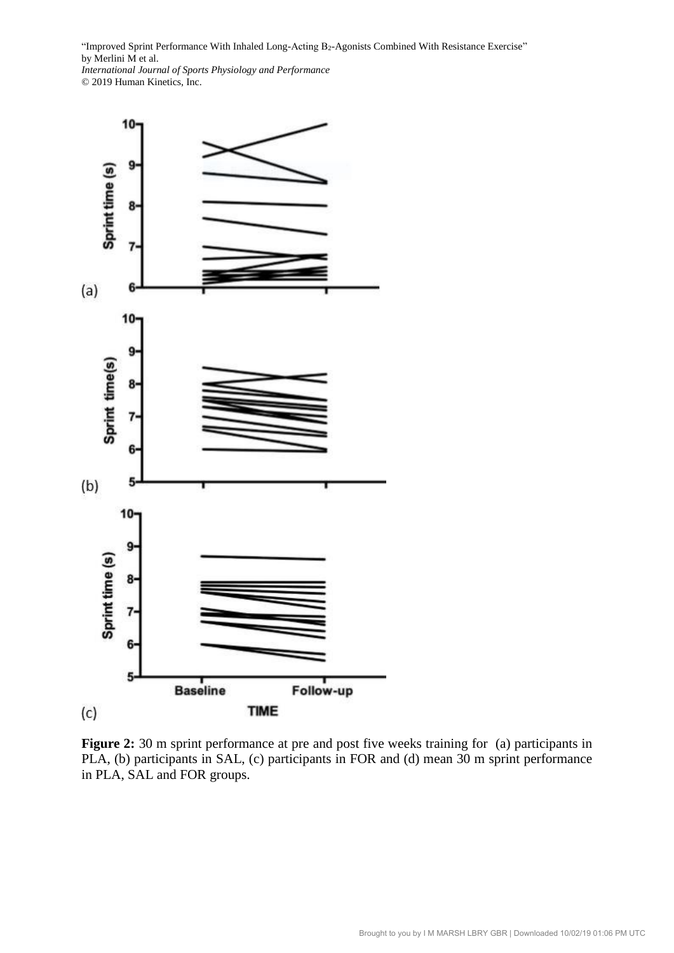

Figure 2: 30 m sprint performance at pre and post five weeks training for (a) participants in PLA, (b) participants in SAL, (c) participants in FOR and (d) mean 30 m sprint performance in PLA, SAL and FOR groups.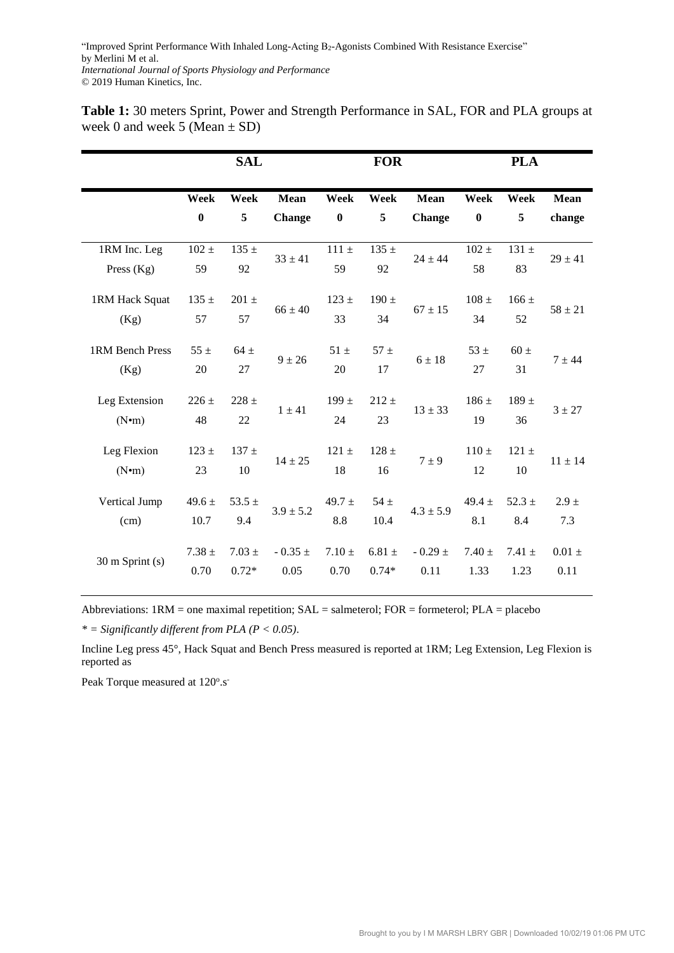|                                     |                    | <b>SAL</b>            |                      |                    | <b>FOR</b>            |                      |                    | <b>PLA</b>         |                    |
|-------------------------------------|--------------------|-----------------------|----------------------|--------------------|-----------------------|----------------------|--------------------|--------------------|--------------------|
|                                     | Week               | Week                  | <b>Mean</b>          | Week               | Week                  | <b>Mean</b>          | Week               | Week               | <b>Mean</b>        |
|                                     | $\bf{0}$           | 5                     | <b>Change</b>        | $\bf{0}$           | 5                     | <b>Change</b>        | $\boldsymbol{0}$   | 5                  | change             |
| 1RM Inc. Leg<br>Press $(Kg)$        | $102 \pm$<br>59    | 135 $\pm$<br>92       | $33 \pm 41$          | $111 \pm$<br>59    | $135 \pm$<br>92       | $24 \pm 44$          | $102 \pm$<br>58    | $131 \pm$<br>83    | $29 \pm 41$        |
| 1RM Hack Squat<br>(Kg)              | 135 $\pm$<br>57    | $201 \pm$<br>57       | $66 \pm 40$          | $123 \pm$<br>33    | 190 $\pm$<br>34       | $67 \pm 15$          | $108 \pm$<br>34    | $166 \pm$<br>52    | $58 \pm 21$        |
| 1RM Bench Press<br>(Kg)             | $55 \pm$<br>20     | $64 \pm$<br>27        | $9 \pm 26$           | $51 \pm$<br>20     | $57 \pm$<br>17        | $6 \pm 18$           | $53 \pm$<br>27     | $60 \pm$<br>31     | $7 + 44$           |
| Leg Extension<br>(N <sub>•</sub> m) | $226 \pm$<br>48    | $228 +$<br>22         | $1 \pm 41$           | 199 $\pm$<br>24    | $212 +$<br>23         | $13 \pm 33$          | $186 \pm$<br>19    | $189 \pm$<br>36    | $3 \pm 27$         |
| Leg Flexion<br>(N <sub>•</sub> m)   | $123 \pm$<br>23    | $137 \pm$<br>10       | $14 \pm 25$          | $121 \pm$<br>18    | $128 \pm$<br>16       | $7 \pm 9$            | $110 \pm$<br>12    | $121 \pm$<br>10    | $11 \pm 14$        |
| Vertical Jump<br>(cm)               | $49.6 \pm$<br>10.7 | 53.5 $\pm$<br>9.4     | $3.9 \pm 5.2$        | 49.7 $\pm$<br>8.8  | $54 \pm$<br>10.4      | $4.3 \pm 5.9$        | $49.4 +$<br>8.1    | $52.3 \pm$<br>8.4  | $2.9 \pm$<br>7.3   |
| $30 \text{ m}$ Sprint (s)           | $7.38 \pm$<br>0.70 | $7.03 \pm$<br>$0.72*$ | - 0.35 $\pm$<br>0.05 | $7.10 \pm$<br>0.70 | $6.81 \pm$<br>$0.74*$ | - 0.29 $\pm$<br>0.11 | $7.40 \pm$<br>1.33 | $7.41 \pm$<br>1.23 | $0.01 \pm$<br>0.11 |

**Table 1:** 30 meters Sprint, Power and Strength Performance in SAL, FOR and PLA groups at week 0 and week 5 (Mean  $\pm$  SD)

Abbreviations: 1RM = one maximal repetition; SAL = salmeterol; FOR = formeterol; PLA = placebo

*\* = Significantly different from PLA (P < 0.05)*.

Incline Leg press 45°, Hack Squat and Bench Press measured is reported at 1RM; Leg Extension, Leg Flexion is reported as

Peak Torque measured at 120°.s<sup>-</sup>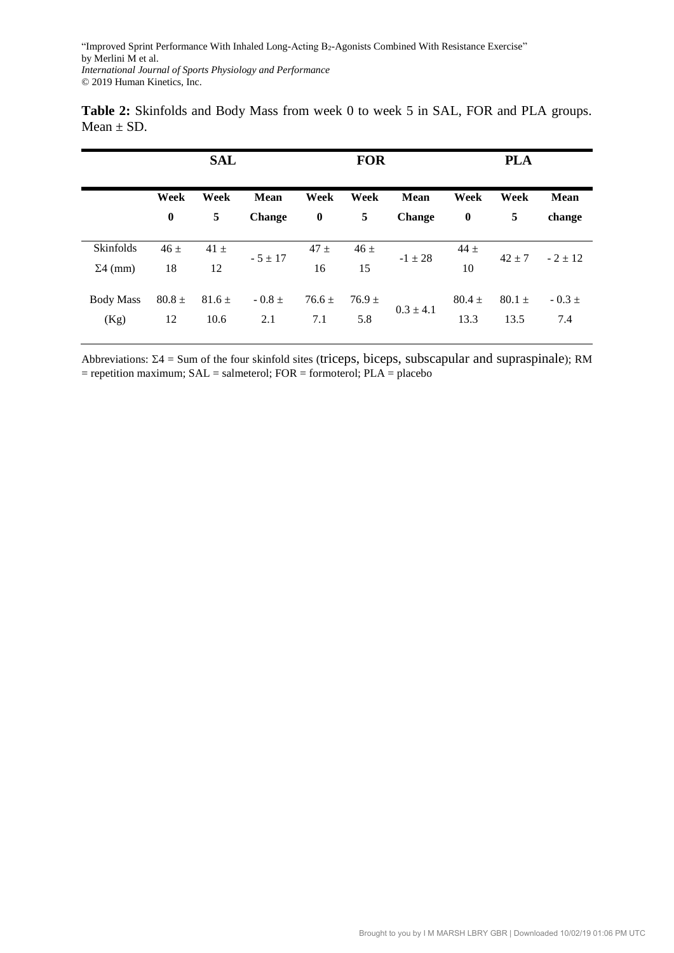| Table 2: Skinfolds and Body Mass from week 0 to week 5 in SAL, FOR and PLA groups. |  |  |  |
|------------------------------------------------------------------------------------|--|--|--|
| Mean $\pm$ SD.                                                                     |  |  |  |

|                  | <b>SAL</b>   |            |               | <b>FOR</b> |                     |               | <b>PLA</b>       |            |             |
|------------------|--------------|------------|---------------|------------|---------------------|---------------|------------------|------------|-------------|
|                  | Week<br>Week |            | Week<br>Mean  |            | <b>Mean</b><br>Week |               | Week             | Week       | <b>Mean</b> |
|                  | $\bf{0}$     | 5          | <b>Change</b> | $\bf{0}$   | 5                   | <b>Change</b> | $\boldsymbol{0}$ | 5          | change      |
| Skinfolds        | $46 \pm$     | $41 \pm$   |               | $47 \pm$   | $46 \pm$            |               | $44 +$           |            |             |
| $\Sigma$ 4 (mm)  | 18           | 12         | $-5 \pm 17$   | 16         | 15                  | $-1 \pm 28$   | 10               | $42 \pm 7$ | $-2 \pm 12$ |
| <b>Body Mass</b> | $80.8 \pm$   | $81.6 \pm$ | $-0.8 \pm$    | $76.6 \pm$ | $76.9 \pm$          | $0.3 \pm 4.1$ | $80.4 +$         | $80.1 \pm$ | $-0.3 \pm$  |
| (Kg)             | 12           | 10.6       | 2.1           | 7.1        | 5.8                 |               | 13.3             | 13.5       | 7.4         |

Abbreviations:  $\Sigma$ 4 = Sum of the four skinfold sites (triceps, biceps, subscapular and supraspinale); RM  $=$  repetition maximum; SAL  $=$  salmeterol; FOR  $=$  formoterol; PLA  $=$  placebo